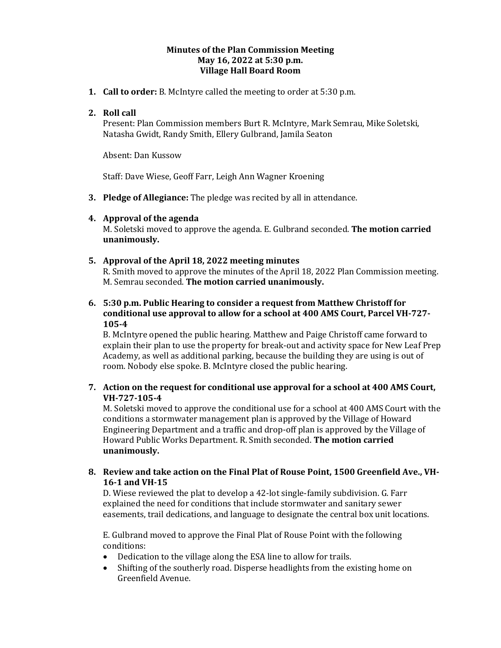### **Minutes of the Plan Commission Meeting May 16, 2022 at 5:30 p.m. Village Hall Board Room**

**1. Call to order:** B. McIntyre called the meeting to order at 5:30 p.m.

# **2. Roll call**

Present: Plan Commission members Burt R. McIntyre, Mark Semrau, Mike Soletski, Natasha Gwidt, Randy Smith, Ellery Gulbrand, Jamila Seaton

Absent: Dan Kussow

Staff: Dave Wiese, Geoff Farr, Leigh Ann Wagner Kroening

**3. Pledge of Allegiance:** The pledge was recited by all in attendance.

## **4. Approval of the agenda**

M. Soletski moved to approve the agenda. E. Gulbrand seconded. **The motion carried unanimously.** 

### **5. Approval of the April 18, 2022 meeting minutes**

R. Smith moved to approve the minutes of the April 18, 2022 Plan Commission meeting. M. Semrau seconded. **The motion carried unanimously.**

## **6. 5:30 p.m. Public Hearing to consider a request from Matthew Christoff for conditional use approval to allow for a school at 400 AMS Court, Parcel VH-727- 105-4**

B. McIntyre opened the public hearing. Matthew and Paige Christoff came forward to explain their plan to use the property for break-out and activity space for New Leaf Prep Academy, as well as additional parking, because the building they are using is out of room. Nobody else spoke. B. McIntyre closed the public hearing.

## **7. Action on the request for conditional use approval for a school at 400 AMS Court, VH-727-105-4**

M. Soletski moved to approve the conditional use for a school at 400 AMS Court with the conditions a stormwater management plan is approved by the Village of Howard Engineering Department and a traffic and drop-off plan is approved by the Village of Howard Public Works Department. R. Smith seconded. **The motion carried unanimously.**

### **8. Review and take action on the Final Plat of Rouse Point, 1500 Greenfield Ave., VH-16-1 and VH-15**

D. Wiese reviewed the plat to develop a 42-lot single-family subdivision. G. Farr explained the need for conditions that include stormwater and sanitary sewer easements, trail dedications, and language to designate the central box unit locations.

E. Gulbrand moved to approve the Final Plat of Rouse Point with the following conditions:

- Dedication to the village along the ESA line to allow for trails.
- Shifting of the southerly road. Disperse headlights from the existing home on Greenfield Avenue.